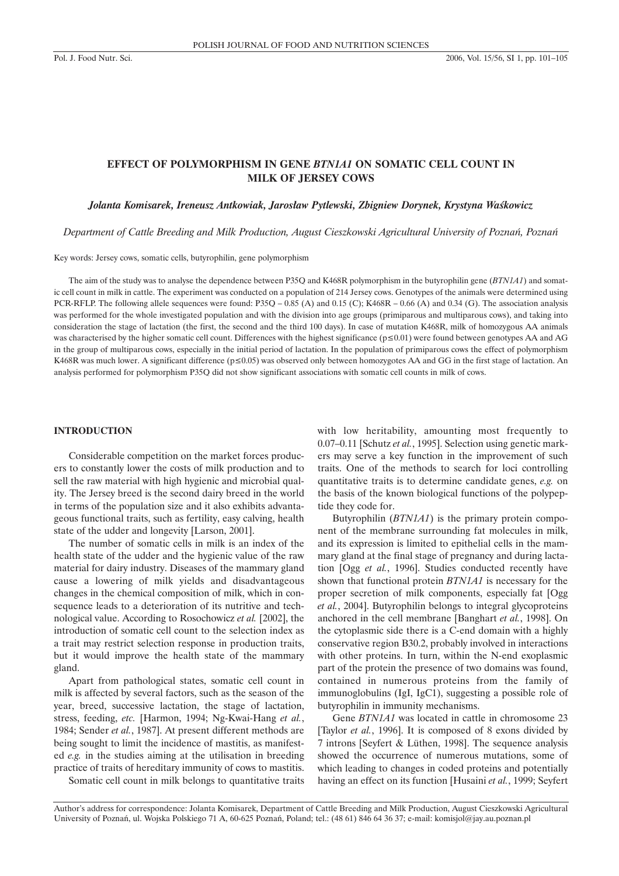## **EFFECT OF POLYMORPHISM IN GENE** *BTN1A1* **ON SOMATIC CELL COUNT IN MILK OF JERSEY COWS**

*Jolanta Komisarek, Ireneusz Antkowiak, Jaros³aw Pytlewski, Zbigniew Dorynek, Krystyna Waœkowicz*

*Department of Cattle Breeding and Milk Production, August Cieszkowski Agricultural University of Poznañ, Poznañ*

Key words: Jersey cows, somatic cells, butyrophilin, gene polymorphism

The aim of the study was to analyse the dependence between P35Q and K468R polymorphism in the butyrophilin gene (*BTN1A1*) and somatic cell count in milk in cattle. The experiment was conducted on a population of 214 Jersey cows. Genotypes of the animals were determined using PCR-RFLP. The following allele sequences were found: P35Q – 0.85 (A) and 0.15 (C); K468R – 0.66 (A) and 0.34 (G). The association analysis was performed for the whole investigated population and with the division into age groups (primiparous and multiparous cows), and taking into consideration the stage of lactation (the first, the second and the third 100 days). In case of mutation K468R, milk of homozygous AA animals was characterised by the higher somatic cell count. Differences with the highest significance ( $p \le 0.01$ ) were found between genotypes AA and AG in the group of multiparous cows, especially in the initial period of lactation. In the population of primiparous cows the effect of polymorphism K468R was much lower. A significant difference ( $p \le 0.05$ ) was observed only between homozygotes AA and GG in the first stage of lactation. An analysis performed for polymorphism P35Q did not show significant associations with somatic cell counts in milk of cows.

#### **INTRODUCTION**

Considerable competition on the market forces producers to constantly lower the costs of milk production and to sell the raw material with high hygienic and microbial quality. The Jersey breed is the second dairy breed in the world in terms of the population size and it also exhibits advantageous functional traits, such as fertility, easy calving, health state of the udder and longevity [Larson, 2001].

The number of somatic cells in milk is an index of the health state of the udder and the hygienic value of the raw material for dairy industry. Diseases of the mammary gland cause a lowering of milk yields and disadvantageous changes in the chemical composition of milk, which in consequence leads to a deterioration of its nutritive and technological value. According to Rosochowicz *et al.* [2002], the introduction of somatic cell count to the selection index as a trait may restrict selection response in production traits, but it would improve the health state of the mammary gland.

Apart from pathological states, somatic cell count in milk is affected by several factors, such as the season of the year, breed, successive lactation, the stage of lactation, stress, feeding, *etc.* [Harmon, 1994; Ng-Kwai-Hang *et al.*, 1984; Sender *et al.*, 1987]. At present different methods are being sought to limit the incidence of mastitis, as manifested *e.g.* in the studies aiming at the utilisation in breeding practice of traits of hereditary immunity of cows to mastitis.

Somatic cell count in milk belongs to quantitative traits

with low heritability, amounting most frequently to 0.07–0.11 [Schutz *et al.*, 1995]. Selection using genetic markers may serve a key function in the improvement of such traits. One of the methods to search for loci controlling quantitative traits is to determine candidate genes, *e.g.* on the basis of the known biological functions of the polypeptide they code for.

Butyrophilin (*BTN1A1*) is the primary protein component of the membrane surrounding fat molecules in milk, and its expression is limited to epithelial cells in the mammary gland at the final stage of pregnancy and during lactation [Ogg *et al.*, 1996]. Studies conducted recently have shown that functional protein *BTN1A1* is necessary for the proper secretion of milk components, especially fat [Ogg *et al.*, 2004]. Butyrophilin belongs to integral glycoproteins anchored in the cell membrane [Banghart *et al.*, 1998]. On the cytoplasmic side there is a C-end domain with a highly conservative region B30.2, probably involved in interactions with other proteins. In turn, within the N-end exoplasmic part of the protein the presence of two domains was found, contained in numerous proteins from the family of immunoglobulins (IgI, IgC1), suggesting a possible role of butyrophilin in immunity mechanisms.

Gene *BTN1A1* was located in cattle in chromosome 23 [Taylor *et al.*, 1996]. It is composed of 8 exons divided by 7 introns [Seyfert & Lüthen, 1998]. The sequence analysis showed the occurrence of numerous mutations, some of which leading to changes in coded proteins and potentially having an effect on its function [Husaini *et al.*, 1999; Seyfert

Author's address for correspondence: Jolanta Komisarek, Department of Cattle Breeding and Milk Production, August Cieszkowski Agricultural University of Poznañ, ul. Wojska Polskiego 71 A, 60-625 Poznañ, Poland; tel.: (48 61) 846 64 36 37; e-mail: komisjol@jay.au.poznan.pl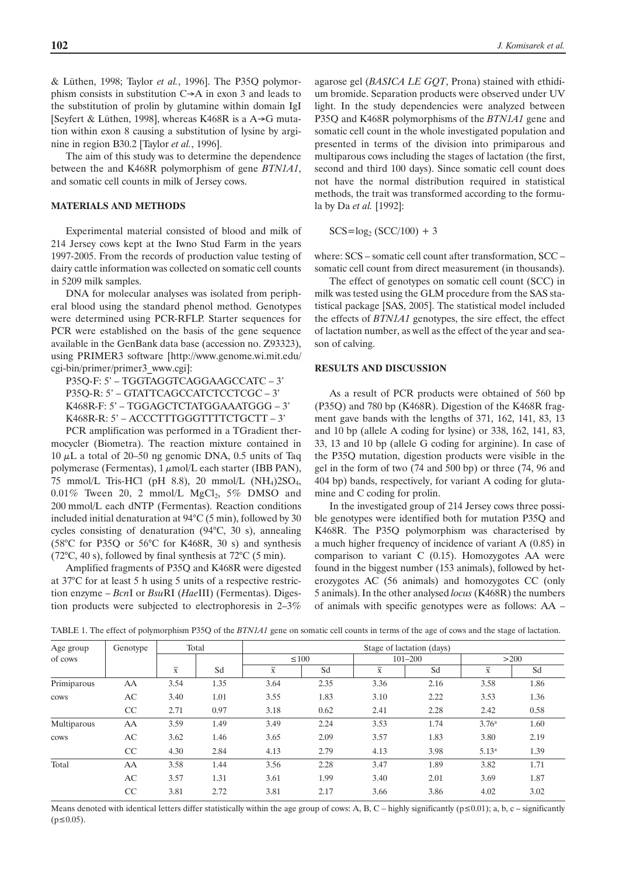& Lüthen, 1998; Taylor *et al.*, 1996]. The P35Q polymorphism consists in substitution  $C \rightarrow A$  in exon 3 and leads to the substitution of prolin by glutamine within domain IgI [Seyfert & Lüthen, 1998], whereas K468R is a  $A \rightarrow G$  mutation within exon 8 causing a substitution of lysine by arginine in region B30.2 [Taylor *et al.*, 1996].

The aim of this study was to determine the dependence between the and K468R polymorphism of gene *BTN1A1*, and somatic cell counts in milk of Jersey cows.

#### **MATERIALS AND METHODS**

Experimental material consisted of blood and milk of 214 Jersey cows kept at the Iwno Stud Farm in the years 1997-2005. From the records of production value testing of dairy cattle information was collected on somatic cell counts in 5209 milk samples.

DNA for molecular analyses was isolated from peripheral blood using the standard phenol method. Genotypes were determined using PCR-RFLP. Starter sequences for PCR were established on the basis of the gene sequence available in the GenBank data base (accession no. Z93323), using PRIMER3 software [http://www.genome.wi.mit.edu/ cgi-bin/primer/primer3\_www.cgi]:

P35Q-F: 5' – TGGTAGGTCAGGAAGCCATC – 3' P35Q-R: 5' – GTATTCAGCCATCTCCTCGC – 3' K468R-F: 5' – TGGAGCTCTATGGAAATGGG – 3' K468R-R: 5' – ACCCTTTGGGTTTTCTGCTT – 3'

PCR amplification was performed in a TGradient thermocycler (Biometra). The reaction mixture contained in  $10 \mu L$  a total of 20–50 ng genomic DNA, 0.5 units of Taq polymerase (Fermentas),  $1 \mu \text{mol/L}$  each starter (IBB PAN), 75 mmol/L Tris-HCl (pH 8.8), 20 mmol/L  $(NH<sub>4</sub>)2SO<sub>4</sub>$ ,  $0.01\%$  Tween 20, 2 mmol/L MgCl<sub>2</sub>, 5% DMSO and 200 mmol/L each dNTP (Fermentas). Reaction conditions included initial denaturation at 94°C (5 min), followed by 30 cycles consisting of denaturation (94°C, 30 s), annealing (58°C for P35Q or 56°C for K468R, 30 s) and synthesis (72 $\degree$ C, 40 s), followed by final synthesis at 72 $\degree$ C (5 min).

Amplified fragments of P35Q and K468R were digested at 37°C for at least 5 h using 5 units of a respective restriction enzyme – *Bcn*I or *Bsu*RI (*Hae*III) (Fermentas). Digestion products were subjected to electrophoresis in 2–3%

agarose gel (*BASICA LE GQT*, Prona) stained with ethidium bromide. Separation products were observed under UV light. In the study dependencies were analyzed between P35Q and K468R polymorphisms of the *BTN1A1* gene and somatic cell count in the whole investigated population and presented in terms of the division into primiparous and multiparous cows including the stages of lactation (the first, second and third 100 days). Since somatic cell count does not have the normal distribution required in statistical methods, the trait was transformed according to the formula by Da *et al.* [1992]:

 $SCS = log_2 (SCC/100) + 3$ 

where: SCS – somatic cell count after transformation, SCC – somatic cell count from direct measurement (in thousands).

The effect of genotypes on somatic cell count (SCC) in milk was tested using the GLM procedure from the SAS statistical package [SAS, 2005]. The statistical model included the effects of *BTN1A1* genotypes, the sire effect, the effect of lactation number, as well as the effect of the year and season of calving.

## **RESULTS AND DISCUSSION**

As a result of PCR products were obtained of 560 bp (P35Q) and 780 bp (K468R). Digestion of the K468R fragment gave bands with the lengths of 371, 162, 141, 83, 13 and 10 bp (allele A coding for lysine) or 338, 162, 141, 83, 33, 13 and 10 bp (allele G coding for arginine). In case of the P35Q mutation, digestion products were visible in the gel in the form of two (74 and 500 bp) or three (74, 96 and 404 bp) bands, respectively, for variant A coding for glutamine and C coding for prolin.

In the investigated group of 214 Jersey cows three possible genotypes were identified both for mutation P35Q and K468R. The P35Q polymorphism was characterised by a much higher frequency of incidence of variant A (0.85) in comparison to variant C (0.15). Homozygotes AA were found in the biggest number (153 animals), followed by heterozygotes AC (56 animals) and homozygotes CC (only 5 animals). In the other analysed *locus* (K468R) the numbers of animals with specific genotypes were as follows: AA –

| Age group   | Genotype | Total                   |      | Stage of lactation (days) |      |                         |      |                         |      |  |
|-------------|----------|-------------------------|------|---------------------------|------|-------------------------|------|-------------------------|------|--|
| of cows     |          | $\overline{\textbf{x}}$ | Sd   | $\leq 100$                |      | $101 - 200$             |      | >200                    |      |  |
|             |          |                         |      | $\overline{\mathbf{x}}$   | Sd   | $\overline{\mathbf{x}}$ | Sd   | $\overline{\textbf{X}}$ | Sd   |  |
| Primiparous | AA       | 3.54                    | 1.35 | 3.64                      | 2.35 | 3.36                    | 2.16 | 3.58                    | 1.86 |  |
| cows        | AC       | 3.40                    | 1.01 | 3.55                      | 1.83 | 3.10                    | 2.22 | 3.53                    | 1.36 |  |
|             | CC       | 2.71                    | 0.97 | 3.18                      | 0.62 | 2.41                    | 2.28 | 2.42                    | 0.58 |  |
| Multiparous | AA       | 3.59                    | 1.49 | 3.49                      | 2.24 | 3.53                    | 1.74 | 3.76 <sup>a</sup>       | 1.60 |  |
| cows        | AC       | 3.62                    | 1.46 | 3.65                      | 2.09 | 3.57                    | 1.83 | 3.80                    | 2.19 |  |
|             | CC       | 4.30                    | 2.84 | 4.13                      | 2.79 | 4.13                    | 3.98 | 5.13 <sup>a</sup>       | 1.39 |  |
| Total       | AA       | 3.58                    | 1.44 | 3.56                      | 2.28 | 3.47                    | 1.89 | 3.82                    | 1.71 |  |
|             | AC       | 3.57                    | 1.31 | 3.61                      | 1.99 | 3.40                    | 2.01 | 3.69                    | 1.87 |  |
|             | CC       | 3.81                    | 2.72 | 3.81                      | 2.17 | 3.66                    | 3.86 | 4.02                    | 3.02 |  |

TABLE 1. The effect of polymorphism P35Q of the *BTN1A1* gene on somatic cell counts in terms of the age of cows and the stage of lactation.

Means denoted with identical letters differ statistically within the age group of cows: A, B, C – highly significantly ( $p \le 0.01$ ); a, b, c – significantly  $(p \le 0.05)$ .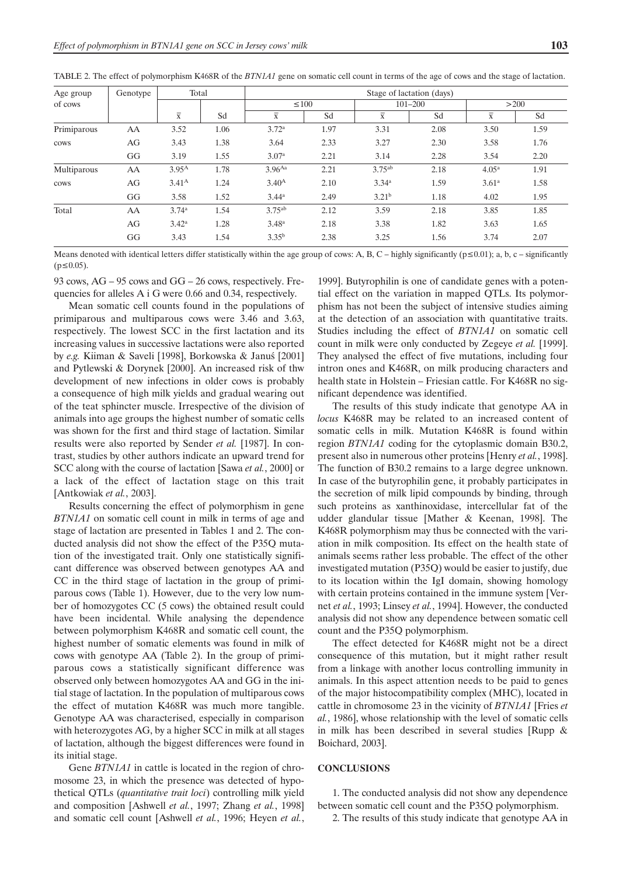| Age group   | Genotype | Total                   |      | Stage of lactation (days) |      |                         |      |                         |      |  |
|-------------|----------|-------------------------|------|---------------------------|------|-------------------------|------|-------------------------|------|--|
| of cows     |          | $\overline{\textbf{x}}$ | Sd   | $\leq 100$                |      | $101 - 200$             |      | >200                    |      |  |
|             |          |                         |      | $\overline{\textbf{x}}$   | Sd   | $\overline{\mathbf{x}}$ | Sd   | $\overline{\textbf{X}}$ | Sd   |  |
| Primiparous | AA       | 3.52                    | 1.06 | 3.72 <sup>a</sup>         | 1.97 | 3.31                    | 2.08 | 3.50                    | 1.59 |  |
| cows        | AG       | 3.43                    | 1.38 | 3.64                      | 2.33 | 3.27                    | 2.30 | 3.58                    | 1.76 |  |
|             | GG       | 3.19                    | 1.55 | 3.07 <sup>a</sup>         | 2.21 | 3.14                    | 2.28 | 3.54                    | 2.20 |  |
| Multiparous | AA       | $3.95^{A}$              | 1.78 | $3.96^{Aa}$               | 2.21 | $3.75^{ab}$             | 2.18 | $4.05^{\rm a}$          | 1.91 |  |
| cows        | AG       | 3.41 <sup>A</sup>       | 1.24 | 3.40 <sup>A</sup>         | 2.10 | 3.34 <sup>a</sup>       | 1.59 | 3.61 <sup>a</sup>       | 1.58 |  |
|             | GG       | 3.58                    | 1.52 | 3.44 <sup>a</sup>         | 2.49 | 3.21 <sup>b</sup>       | 1.18 | 4.02                    | 1.95 |  |
| Total       | AA       | 3.74 <sup>a</sup>       | 1.54 | $3.75^{ab}$               | 2.12 | 3.59                    | 2.18 | 3.85                    | 1.85 |  |
|             | AG       | $3.42^{\rm a}$          | 1.28 | 3.48 <sup>a</sup>         | 2.18 | 3.38                    | 1.82 | 3.63                    | 1.65 |  |
|             | GG       | 3.43                    | 1.54 | $3.35^{b}$                | 2.38 | 3.25                    | 1.56 | 3.74                    | 2.07 |  |

TABLE 2. The effect of polymorphism K468R of the *BTN1A1* gene on somatic cell count in terms of the age of cows and the stage of lactation.

Means denoted with identical letters differ statistically within the age group of cows: A, B, C – highly significantly ( $p \le 0.01$ ); a, b, c – significantly  $(p \le 0.05)$ .

93 cows, AG – 95 cows and GG – 26 cows, respectively. Frequencies for alleles A i G were 0.66 and 0.34, respectively.

Mean somatic cell counts found in the populations of primiparous and multiparous cows were 3.46 and 3.63, respectively. The lowest SCC in the first lactation and its increasing values in successive lactations were also reported by *e.g.* Kiiman & Saveli [1998], Borkowska & Januś [2001] and Pytlewski & Dorynek [2000]. An increased risk of thw development of new infections in older cows is probably a consequence of high milk yields and gradual wearing out of the teat sphincter muscle. Irrespective of the division of animals into age groups the highest number of somatic cells was shown for the first and third stage of lactation. Similar results were also reported by Sender *et al.* [1987]. In contrast, studies by other authors indicate an upward trend for SCC along with the course of lactation [Sawa *et al.*, 2000] or a lack of the effect of lactation stage on this trait [Antkowiak *et al.*, 2003].

Results concerning the effect of polymorphism in gene *BTN1A1* on somatic cell count in milk in terms of age and stage of lactation are presented in Tables 1 and 2. The conducted analysis did not show the effect of the P35Q mutation of the investigated trait. Only one statistically significant difference was observed between genotypes AA and CC in the third stage of lactation in the group of primiparous cows (Table 1). However, due to the very low number of homozygotes CC (5 cows) the obtained result could have been incidental. While analysing the dependence between polymorphism K468R and somatic cell count, the highest number of somatic elements was found in milk of cows with genotype AA (Table 2). In the group of primiparous cows a statistically significant difference was observed only between homozygotes AA and GG in the initial stage of lactation. In the population of multiparous cows the effect of mutation K468R was much more tangible. Genotype AA was characterised, especially in comparison with heterozygotes AG, by a higher SCC in milk at all stages of lactation, although the biggest differences were found in its initial stage.

Gene *BTN1A1* in cattle is located in the region of chromosome 23, in which the presence was detected of hypothetical QTLs (*quantitative trait loci*) controlling milk yield and composition [Ashwell *et al.*, 1997; Zhang *et al.*, 1998] and somatic cell count [Ashwell *et al.*, 1996; Heyen *et al.*, 1999]. Butyrophilin is one of candidate genes with a potential effect on the variation in mapped QTLs. Its polymorphism has not been the subject of intensive studies aiming at the detection of an association with quantitative traits. Studies including the effect of *BTN1A1* on somatic cell count in milk were only conducted by Zegeye *et al.* [1999]. They analysed the effect of five mutations, including four intron ones and K468R, on milk producing characters and health state in Holstein – Friesian cattle. For K468R no significant dependence was identified.

The results of this study indicate that genotype AA in *locus* K468R may be related to an increased content of somatic cells in milk. Mutation K468R is found within region *BTN1A1* coding for the cytoplasmic domain B30.2, present also in numerous other proteins [Henry *et al.*, 1998]. The function of B30.2 remains to a large degree unknown. In case of the butyrophilin gene, it probably participates in the secretion of milk lipid compounds by binding, through such proteins as xanthinoxidase, intercellular fat of the udder glandular tissue [Mather & Keenan, 1998]. The K468R polymorphism may thus be connected with the variation in milk composition. Its effect on the health state of animals seems rather less probable. The effect of the other investigated mutation (P35Q) would be easier to justify, due to its location within the IgI domain, showing homology with certain proteins contained in the immune system [Vernet *et al.*, 1993; Linsey *et al.*, 1994]. However, the conducted analysis did not show any dependence between somatic cell count and the P35Q polymorphism.

The effect detected for K468R might not be a direct consequence of this mutation, but it might rather result from a linkage with another locus controlling immunity in animals. In this aspect attention needs to be paid to genes of the major histocompatibility complex (MHC), located in cattle in chromosome 23 in the vicinity of *BTN1A1* [Fries *et al.*, 1986], whose relationship with the level of somatic cells in milk has been described in several studies [Rupp & Boichard, 2003].

## **CONCLUSIONS**

1. The conducted analysis did not show any dependence between somatic cell count and the P35Q polymorphism.

2. The results of this study indicate that genotype AA in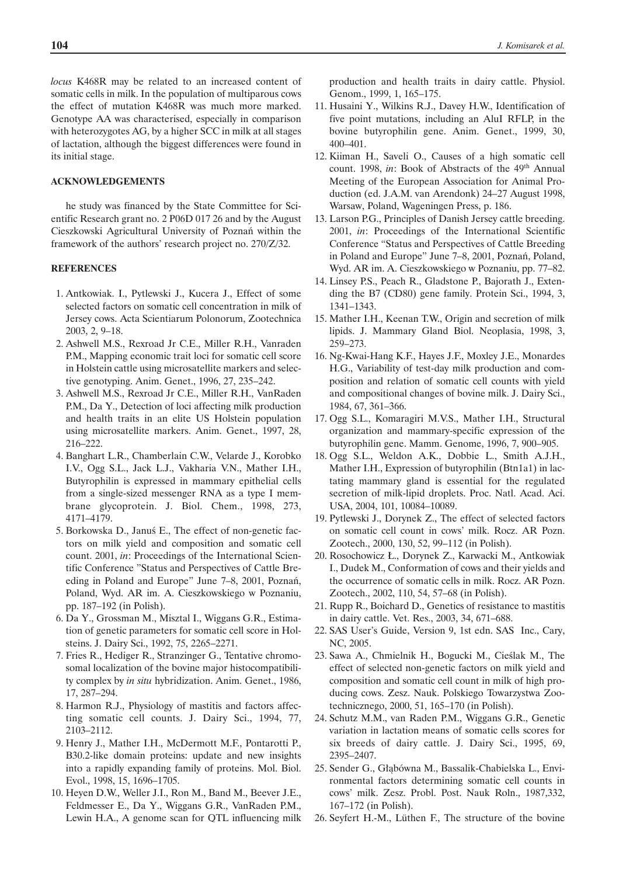*locus* K468R may be related to an increased content of somatic cells in milk. In the population of multiparous cows the effect of mutation K468R was much more marked. Genotype AA was characterised, especially in comparison with heterozygotes AG, by a higher SCC in milk at all stages of lactation, although the biggest differences were found in its initial stage.

#### **ACKNOWLEDGEMENTS**

he study was financed by the State Committee for Scientific Research grant no. 2 P06D 017 26 and by the August Cieszkowski Agricultural University of Poznañ within the framework of the authors' research project no. 270/Z/32.

## **REFERENCES**

- 1. Antkowiak. I., Pytlewski J., Kucera J., Effect of some selected factors on somatic cell concentration in milk of Jersey cows. Acta Scientiarum Polonorum, Zootechnica 2003, 2, 9–18.
- 2. Ashwell M.S., Rexroad Jr C.E., Miller R.H., Vanraden P.M., Mapping economic trait loci for somatic cell score in Holstein cattle using microsatellite markers and selective genotyping. Anim. Genet., 1996, 27, 235–242.
- 3. Ashwell M.S., Rexroad Jr C.E., Miller R.H., VanRaden P.M., Da Y., Detection of loci affecting milk production and health traits in an elite US Holstein population using microsatellite markers. Anim. Genet., 1997, 28, 216–222.
- 4. Banghart L.R., Chamberlain C.W., Velarde J., Korobko I.V., Ogg S.L., Jack L.J., Vakharia V.N., Mather I.H., Butyrophilin is expressed in mammary epithelial cells from a single-sized messenger RNA as a type I membrane glycoprotein. J. Biol. Chem., 1998, 273, 4171–4179.
- 5. Borkowska D., Janus E., The effect of non-genetic factors on milk yield and composition and somatic cell count. 2001, *in*: Proceedings of the International Scientific Conference "Status and Perspectives of Cattle Breeding in Poland and Europe" June 7–8, 2001, Poznañ, Poland, Wyd. AR im. A. Cieszkowskiego w Poznaniu, pp. 187–192 (in Polish).
- 6. Da Y., Grossman M., Misztal I., Wiggans G.R., Estimation of genetic parameters for somatic cell score in Holsteins. J. Dairy Sci., 1992, 75, 2265–2271.
- 7. Fries R., Hediger R., Stranzinger G., Tentative chromosomal localization of the bovine major histocompatibility complex by *in situ* hybridization. Anim. Genet., 1986, 17, 287–294.
- 8. Harmon R.J., Physiology of mastitis and factors affecting somatic cell counts. J. Dairy Sci., 1994, 77, 2103–2112.
- 9. Henry J., Mather I.H., McDermott M.F., Pontarotti P., B30.2-like domain proteins: update and new insights into a rapidly expanding family of proteins. Mol. Biol. Evol., 1998, 15, 1696–1705.
- 10. Heyen D.W., Weller J.I., Ron M., Band M., Beever J.E., Feldmesser E., Da Y., Wiggans G.R., VanRaden P.M., Lewin H.A., A genome scan for QTL influencing milk

production and health traits in dairy cattle. Physiol. Genom., 1999, 1, 165–175.

- 11. Husaini Y., Wilkins R.J., Davey H.W., Identification of five point mutations, including an AluI RFLP, in the bovine butyrophilin gene. Anim. Genet., 1999, 30, 400–401.
- 12. Kiiman H., Saveli O., Causes of a high somatic cell count. 1998, *in*: Book of Abstracts of the 49<sup>th</sup> Annual Meeting of the European Association for Animal Production (ed. J.A.M. van Arendonk) 24–27 August 1998, Warsaw, Poland, Wageningen Press, p. 186.
- 13. Larson P.G., Principles of Danish Jersey cattle breeding. 2001, *in*: Proceedings of the International Scientific Conference "Status and Perspectives of Cattle Breeding in Poland and Europe" June 7–8, 2001, Poznañ, Poland, Wyd. AR im. A. Cieszkowskiego w Poznaniu, pp. 77–82.
- 14. Linsey P.S., Peach R., Gladstone P., Bajorath J., Extending the B7 (CD80) gene family. Protein Sci., 1994, 3, 1341–1343.
- 15. Mather I.H., Keenan T.W., Origin and secretion of milk lipids. J. Mammary Gland Biol. Neoplasia, 1998, 3, 259–273.
- 16. Ng-Kwai-Hang K.F., Hayes J.F., Moxley J.E., Monardes H.G., Variability of test-day milk production and composition and relation of somatic cell counts with yield and compositional changes of bovine milk. J. Dairy Sci., 1984, 67, 361–366.
- 17. Ogg S.L., Komaragiri M.V.S., Mather I.H., Structural organization and mammary-specific expression of the butyrophilin gene. Mamm. Genome, 1996, 7, 900–905.
- 18. Ogg S.L., Weldon A.K., Dobbie L., Smith A.J.H., Mather I.H., Expression of butyrophilin (Btn1a1) in lactating mammary gland is essential for the regulated secretion of milk-lipid droplets. Proc. Natl. Acad. Aci. USA, 2004, 101, 10084–10089.
- 19. Pytlewski J., Dorynek Z., The effect of selected factors on somatic cell count in cows' milk. Rocz. AR Pozn. Zootech., 2000, 130, 52, 99–112 (in Polish).
- 20. Rosochowicz £., Dorynek Z., Karwacki M., Antkowiak I., Dudek M., Conformation of cows and their yields and the occurrence of somatic cells in milk. Rocz. AR Pozn. Zootech., 2002, 110, 54, 57–68 (in Polish).
- 21. Rupp R., Boichard D., Genetics of resistance to mastitis in dairy cattle. Vet. Res., 2003, 34, 671–688.
- 22. SAS User's Guide, Version 9, 1st edn. SAS Inc., Cary, NC, 2005.
- 23. Sawa A., Chmielnik H., Bogucki M., Cieślak M., The effect of selected non-genetic factors on milk yield and composition and somatic cell count in milk of high producing cows. Zesz. Nauk. Polskiego Towarzystwa Zootechnicznego, 2000, 51, 165–170 (in Polish).
- 24. Schutz M.M., van Raden P.M., Wiggans G.R., Genetic variation in lactation means of somatic cells scores for six breeds of dairy cattle. J. Dairy Sci., 1995, 69, 2395–2407.
- 25. Sender G., Głąbówna M., Bassalik-Chabielska L., Environmental factors determining somatic cell counts in cows' milk. Zesz. Probl. Post. Nauk Roln., 1987,332, 167–172 (in Polish).
- 26. Seyfert H.-M., Lüthen F., The structure of the bovine